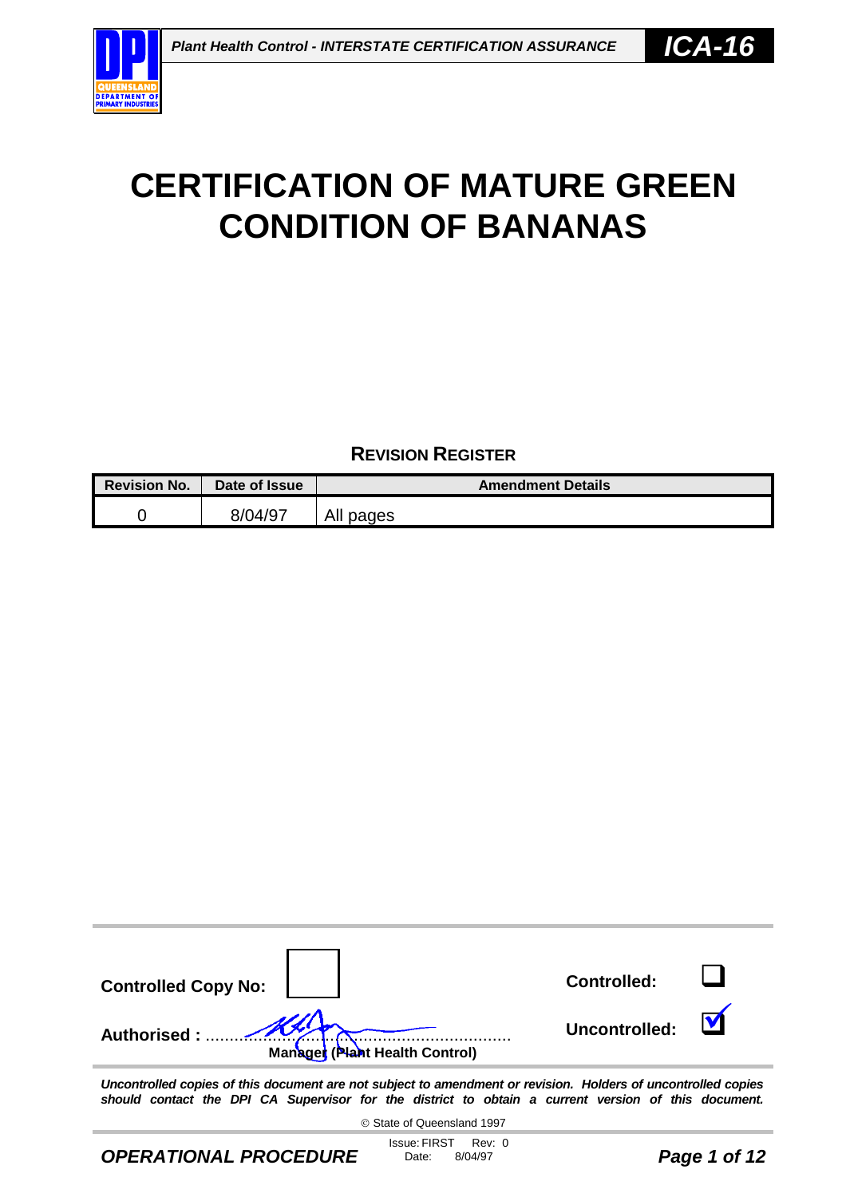

**REVISION REGISTER**

| <b>Revision No.</b> | Date of Issue | <b>Amendment Details</b> |
|---------------------|---------------|--------------------------|
|                     | 8/04/97       | All pages                |



*Uncontrolled copies of this document are not subject to amendment or revision. Holders of uncontrolled copies should contact the DPI CA Supervisor for the district to obtain a current version of this document.*

State of Queensland 1997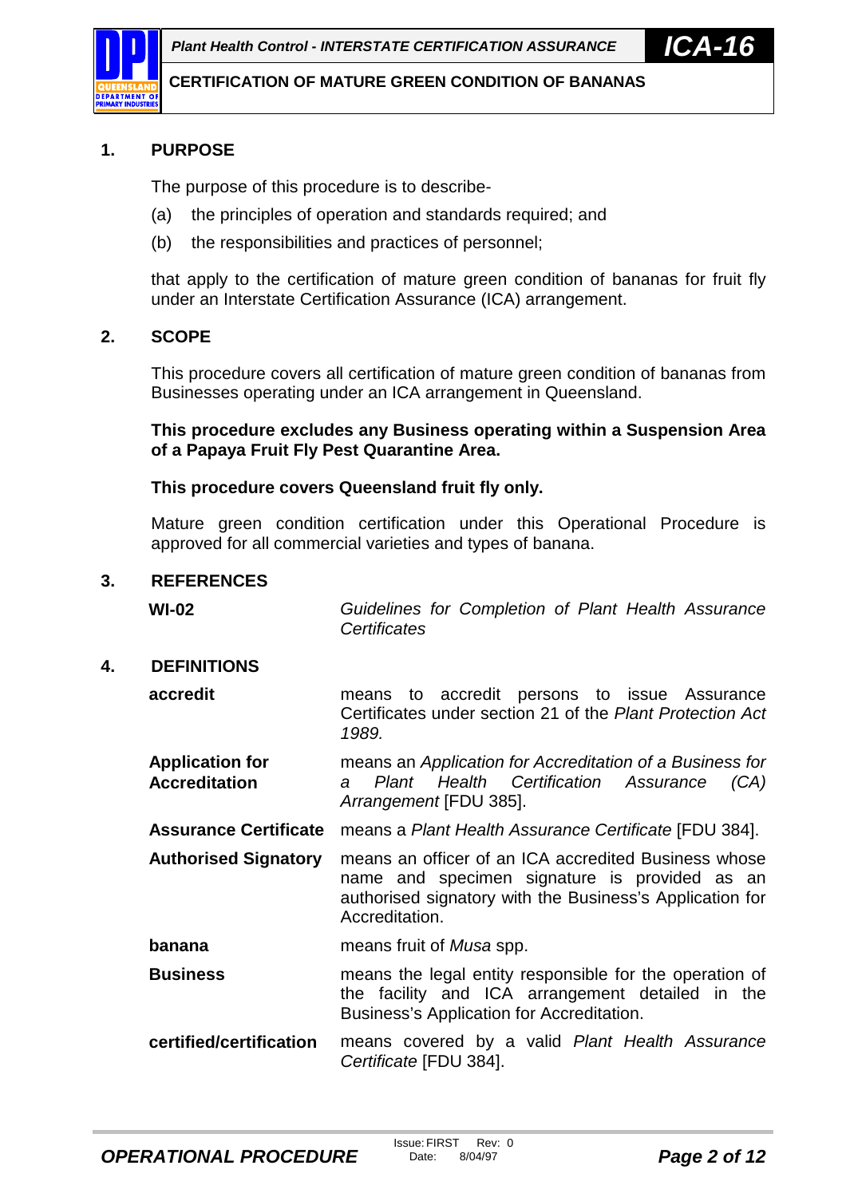

## **1. PURPOSE**

The purpose of this procedure is to describe-

- (a) the principles of operation and standards required; and
- (b) the responsibilities and practices of personnel;

that apply to the certification of mature green condition of bananas for fruit fly under an Interstate Certification Assurance (ICA) arrangement.

### **2. SCOPE**

This procedure covers all certification of mature green condition of bananas from Businesses operating under an ICA arrangement in Queensland.

**This procedure excludes any Business operating within a Suspension Area of a Papaya Fruit Fly Pest Quarantine Area.**

#### **This procedure covers Queensland fruit fly only.**

Mature green condition certification under this Operational Procedure is approved for all commercial varieties and types of banana.

#### **3. REFERENCES**

**WI-02** *Guidelines for Completion of Plant Health Assurance Certificates*

#### **4. DEFINITIONS**

**accredit** means to accredit persons to issue Assurance Certificates under section 21 of the *Plant Protection Act 1989.*

**Application for Accreditation** means an *Application for Accreditation of a Business for a Plant Health Certification Assurance (CA) Arrangement* [FDU 385].

**Assurance Certificate** means a *Plant Health Assurance Certificate* [FDU 384].

**Authorised Signatory** means an officer of an ICA accredited Business whose name and specimen signature is provided as an authorised signatory with the Business's Application for Accreditation.

**banana** means fruit of *Musa* spp.

**Business** means the legal entity responsible for the operation of the facility and ICA arrangement detailed in the Business's Application for Accreditation.

**certified/certification** means covered by a valid *Plant Health Assurance Certificate* [FDU 384].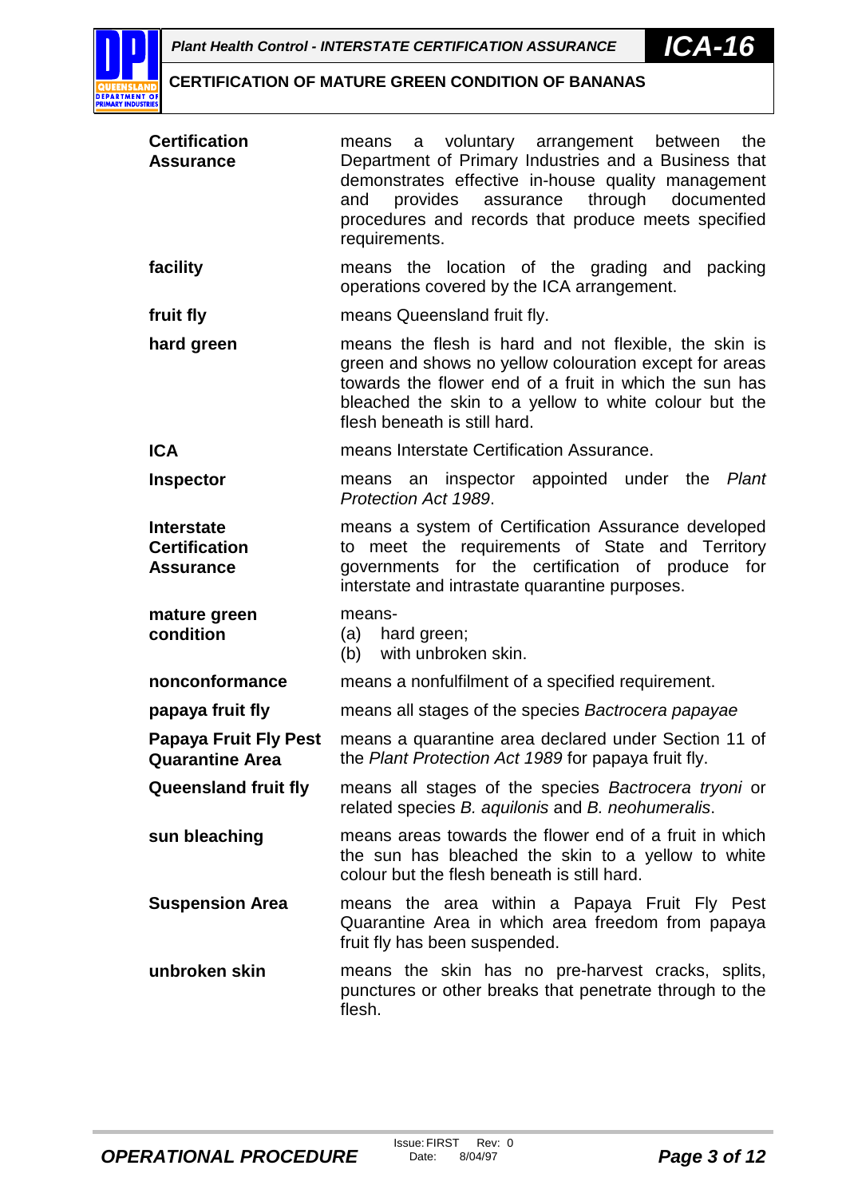

| <b>Certification</b><br><b>Assurance</b>                      | a voluntary arrangement between<br>the<br>means<br>Department of Primary Industries and a Business that<br>demonstrates effective in-house quality management<br>and provides<br>assurance<br>through documented<br>procedures and records that produce meets specified<br>requirements. |
|---------------------------------------------------------------|------------------------------------------------------------------------------------------------------------------------------------------------------------------------------------------------------------------------------------------------------------------------------------------|
| facility                                                      | means the location of the grading and packing<br>operations covered by the ICA arrangement.                                                                                                                                                                                              |
| fruit fly                                                     | means Queensland fruit fly.                                                                                                                                                                                                                                                              |
| hard green                                                    | means the flesh is hard and not flexible, the skin is<br>green and shows no yellow colouration except for areas<br>towards the flower end of a fruit in which the sun has<br>bleached the skin to a yellow to white colour but the<br>flesh beneath is still hard.                       |
| <b>ICA</b>                                                    | means Interstate Certification Assurance.                                                                                                                                                                                                                                                |
| <b>Inspector</b>                                              | means an inspector appointed under the Plant<br>Protection Act 1989.                                                                                                                                                                                                                     |
| <b>Interstate</b><br><b>Certification</b><br><b>Assurance</b> | means a system of Certification Assurance developed<br>to meet the requirements of State and Territory<br>governments for the certification of produce for<br>interstate and intrastate quarantine purposes.                                                                             |
| mature green<br>condition                                     | means-<br>(a) hard green;<br>(b) with unbroken skin.                                                                                                                                                                                                                                     |
| nonconformance                                                | means a nonfulfilment of a specified requirement.                                                                                                                                                                                                                                        |
| papaya fruit fly                                              | means all stages of the species Bactrocera papayae                                                                                                                                                                                                                                       |
| <b>Papaya Fruit Fly Pest</b><br><b>Quarantine Area</b>        | means a quarantine area declared under Section 11 of<br>the Plant Protection Act 1989 for papaya fruit fly.                                                                                                                                                                              |
| <b>Queensland fruit fly</b>                                   | means all stages of the species Bactrocera tryoni or<br>related species B. aquilonis and B. neohumeralis.                                                                                                                                                                                |
| sun bleaching                                                 | means areas towards the flower end of a fruit in which<br>the sun has bleached the skin to a yellow to white<br>colour but the flesh beneath is still hard.                                                                                                                              |
| <b>Suspension Area</b>                                        | means the area within a Papaya Fruit Fly Pest<br>Quarantine Area in which area freedom from papaya<br>fruit fly has been suspended.                                                                                                                                                      |
| unbroken skin                                                 | means the skin has no pre-harvest cracks, splits,<br>punctures or other breaks that penetrate through to the<br>flesh.                                                                                                                                                                   |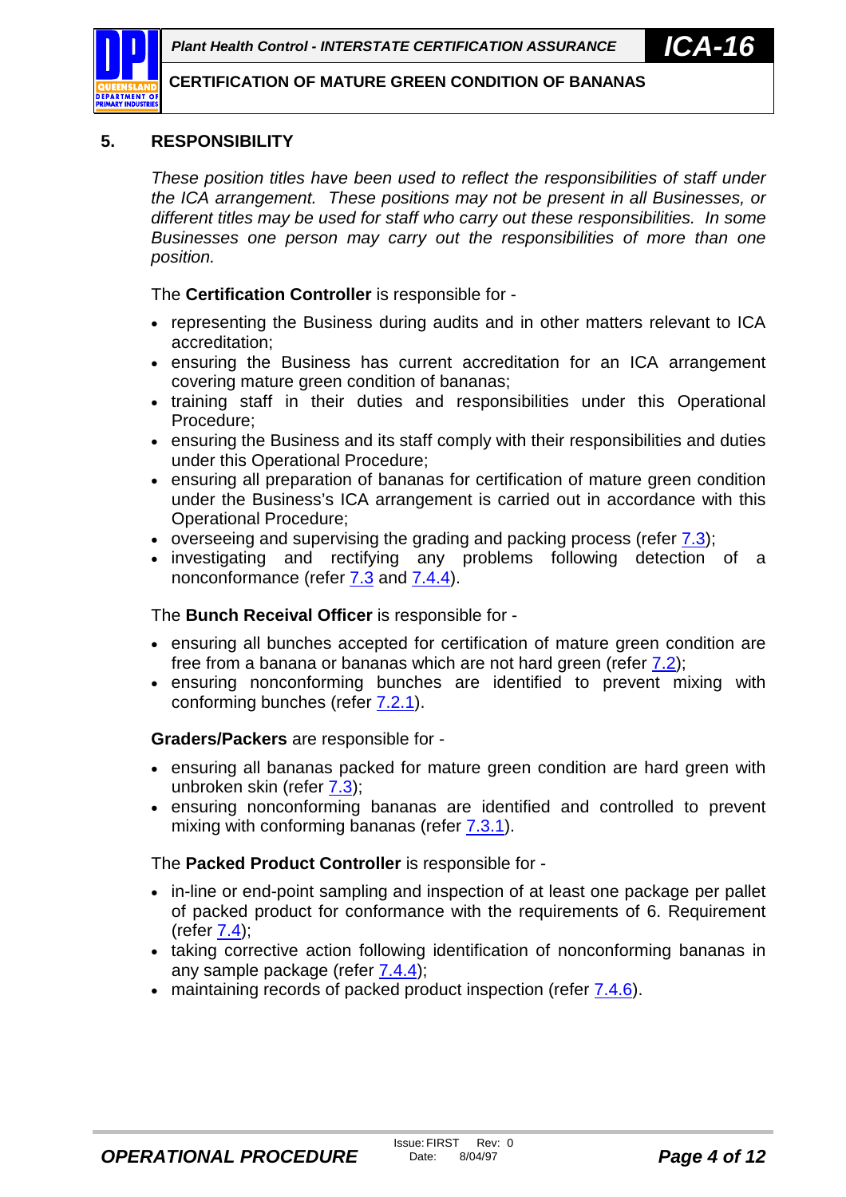

## **5. RESPONSIBILITY**

*These position titles have been used to reflect the responsibilities of staff under the ICA arrangement. These positions may not be present in all Businesses, or different titles may be used for staff who carry out these responsibilities. In some Businesses one person may carry out the responsibilities of more than one position.*

The **Certification Controller** is responsible for -

- representing the Business during audits and in other matters relevant to ICA accreditation;
- ensuring the Business has current accreditation for an ICA arrangement covering mature green condition of bananas;
- training staff in their duties and responsibilities under this Operational Procedure;
- ensuring the Business and its staff comply with their responsibilities and duties under this Operational Procedure;
- ensuring all preparation of bananas for certification of mature green condition under the Business's ICA arrangement is carried out in accordance with this Operational Procedure;
- overseeing and supervising the grading and packing process (refer [7.3\)](#page-6-0);
- investigating and rectifying any problems following detection of a nonconformance (refer [7.3](#page-6-0) and [7.4.4\)](#page-8-0).

The **Bunch Receival Officer** is responsible for -

- ensuring all bunches accepted for certification of mature green condition are free from a banana or bananas which are not hard green (refer [7.2\)](#page-5-0);
- ensuring nonconforming bunches are identified to prevent mixing with conforming bunches (refer [7.2.1\)](#page-6-0).

**Graders/Packers** are responsible for -

- ensuring all bananas packed for mature green condition are hard green with unbroken skin (refer [7.3\)](#page-6-0);
- ensuring nonconforming bananas are identified and controlled to prevent mixing with conforming bananas (refer [7.3.1\)](#page-7-0).

The **Packed Product Controller** is responsible for -

- in-line or end-point sampling and inspection of at least one package per pallet of packed product for conformance with the requirements of 6. Requirement  $(refer 7.4)$  $(refer 7.4)$ ;
- taking corrective action following identification of nonconforming bananas in any sample package (refer  $7.4.4$ );
- maintaining records of packed product inspection (refer [7.4.6\)](#page-9-0).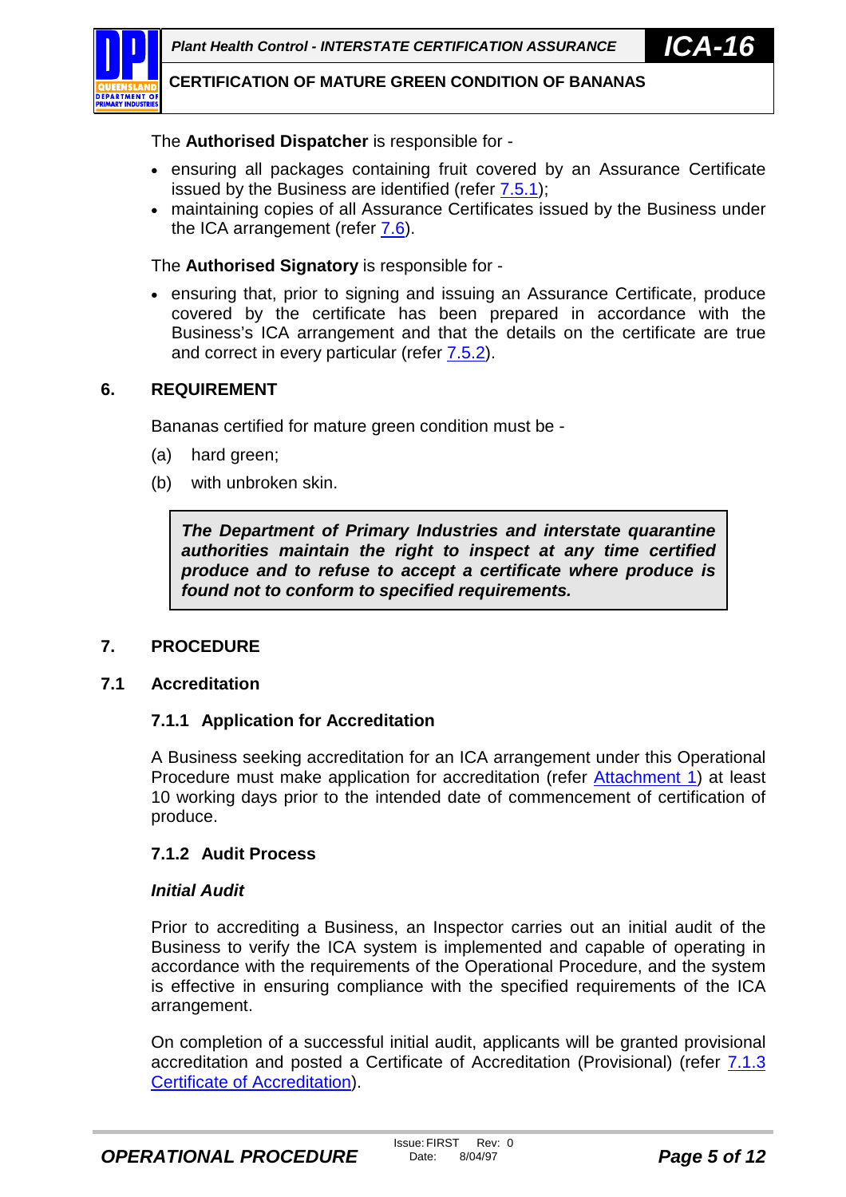<span id="page-4-0"></span>

The **Authorised Dispatcher** is responsible for -

- ensuring all packages containing fruit covered by an Assurance Certificate issued by the Business are identified (refer [7.5.1\)](#page-10-0);
- maintaining copies of all Assurance Certificates issued by the Business under the ICA arrangement (refer [7.6\)](#page-10-0).

The **Authorised Signatory** is responsible for -

 ensuring that, prior to signing and issuing an Assurance Certificate, produce covered by the certificate has been prepared in accordance with the Business's ICA arrangement and that the details on the certificate are true and correct in every particular (refer [7.5.2\)](#page-10-0).

## **6. REQUIREMENT**

Bananas certified for mature green condition must be -

- (a) hard green;
- (b) with unbroken skin.

*The Department of Primary Industries and interstate quarantine authorities maintain the right to inspect at any time certified produce and to refuse to accept a certificate where produce is found not to conform to specified requirements.*

#### **7. PROCEDURE**

#### **7.1 Accreditation**

#### **7.1.1 Application for Accreditation**

A Business seeking accreditation for an ICA arrangement under this Operational Procedure must make application for accreditation (refer [Attachment 1\)](#page-12-0) at least 10 working days prior to the intended date of commencement of certification of produce.

#### **7.1.2 Audit Process**

#### *Initial Audit*

Prior to accrediting a Business, an Inspector carries out an initial audit of the Business to verify the ICA system is implemented and capable of operating in accordance with the requirements of the Operational Procedure, and the system is effective in ensuring compliance with the specified requirements of the ICA arrangement.

On completion of a successful initial audit, applicants will be granted provisional accreditation and posted a Certificate of Accreditation (Provisional) (refer [7.1.3](#page-5-0) [Certificate of Accreditation\)](#page-5-0).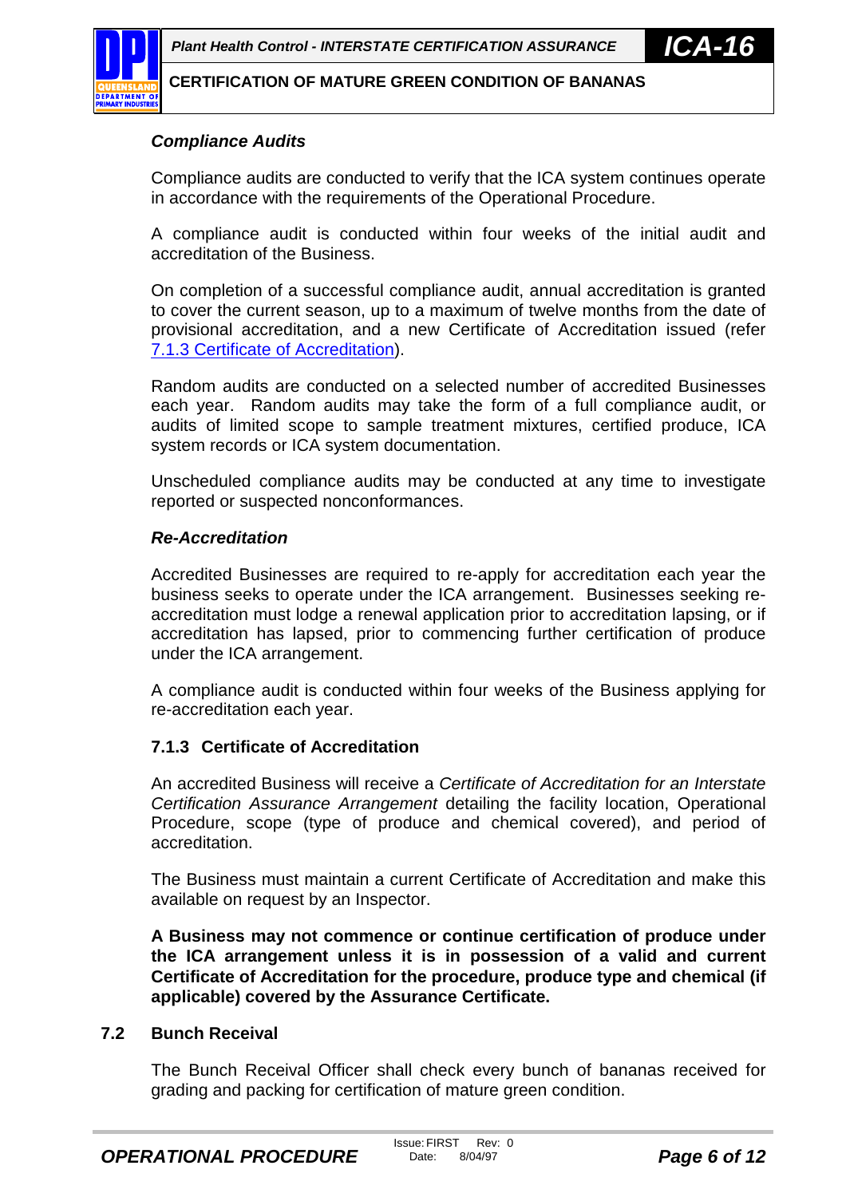<span id="page-5-0"></span>

## *Compliance Audits*

Compliance audits are conducted to verify that the ICA system continues operate in accordance with the requirements of the Operational Procedure.

A compliance audit is conducted within four weeks of the initial audit and accreditation of the Business.

On completion of a successful compliance audit, annual accreditation is granted to cover the current season, up to a maximum of twelve months from the date of provisional accreditation, and a new Certificate of Accreditation issued (refer 7.1.3 Certificate of Accreditation).

Random audits are conducted on a selected number of accredited Businesses each year. Random audits may take the form of a full compliance audit, or audits of limited scope to sample treatment mixtures, certified produce, ICA system records or ICA system documentation.

Unscheduled compliance audits may be conducted at any time to investigate reported or suspected nonconformances.

### *Re-Accreditation*

Accredited Businesses are required to re-apply for accreditation each year the business seeks to operate under the ICA arrangement. Businesses seeking reaccreditation must lodge a renewal application prior to accreditation lapsing, or if accreditation has lapsed, prior to commencing further certification of produce under the ICA arrangement.

A compliance audit is conducted within four weeks of the Business applying for re-accreditation each year.

## **7.1.3 Certificate of Accreditation**

An accredited Business will receive a *Certificate of Accreditation for an Interstate Certification Assurance Arrangement* detailing the facility location, Operational Procedure, scope (type of produce and chemical covered), and period of accreditation.

The Business must maintain a current Certificate of Accreditation and make this available on request by an Inspector.

**A Business may not commence or continue certification of produce under the ICA arrangement unless it is in possession of a valid and current Certificate of Accreditation for the procedure, produce type and chemical (if applicable) covered by the Assurance Certificate.**

#### **7.2 Bunch Receival**

The Bunch Receival Officer shall check every bunch of bananas received for grading and packing for certification of mature green condition.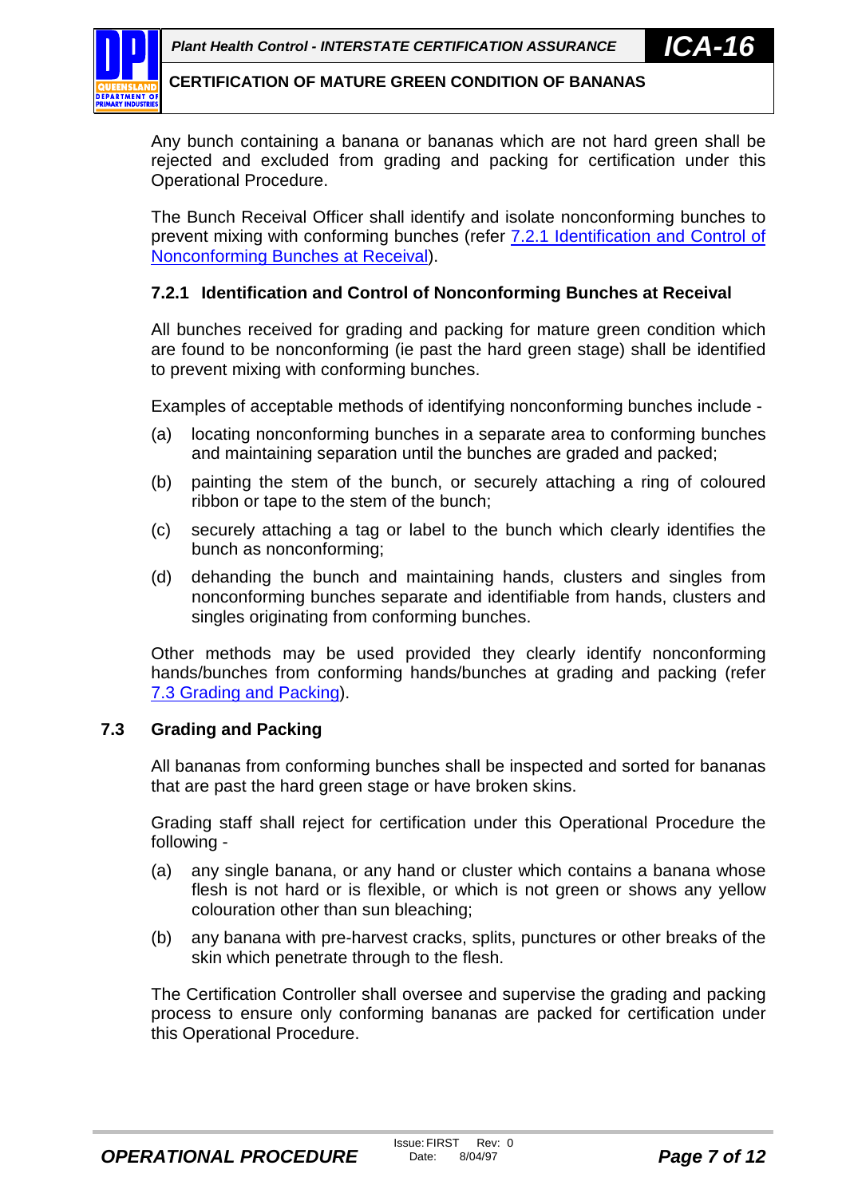<span id="page-6-0"></span>Any bunch containing a banana or bananas which are not hard green shall be rejected and excluded from grading and packing for certification under this Operational Procedure.

The Bunch Receival Officer shall identify and isolate nonconforming bunches to prevent mixing with conforming bunches (refer 7.2.1 Identification and Control of Nonconforming Bunches at Receival).

## **7.2.1 Identification and Control of Nonconforming Bunches at Receival**

All bunches received for grading and packing for mature green condition which are found to be nonconforming (ie past the hard green stage) shall be identified to prevent mixing with conforming bunches.

Examples of acceptable methods of identifying nonconforming bunches include -

- (a) locating nonconforming bunches in a separate area to conforming bunches and maintaining separation until the bunches are graded and packed;
- (b) painting the stem of the bunch, or securely attaching a ring of coloured ribbon or tape to the stem of the bunch;
- (c) securely attaching a tag or label to the bunch which clearly identifies the bunch as nonconforming;
- (d) dehanding the bunch and maintaining hands, clusters and singles from nonconforming bunches separate and identifiable from hands, clusters and singles originating from conforming bunches.

Other methods may be used provided they clearly identify nonconforming hands/bunches from conforming hands/bunches at grading and packing (refer 7.3 Grading and Packing).

#### **7.3 Grading and Packing**

All bananas from conforming bunches shall be inspected and sorted for bananas that are past the hard green stage or have broken skins.

Grading staff shall reject for certification under this Operational Procedure the following -

- (a) any single banana, or any hand or cluster which contains a banana whose flesh is not hard or is flexible, or which is not green or shows any yellow colouration other than sun bleaching;
- (b) any banana with pre-harvest cracks, splits, punctures or other breaks of the skin which penetrate through to the flesh.

The Certification Controller shall oversee and supervise the grading and packing process to ensure only conforming bananas are packed for certification under this Operational Procedure.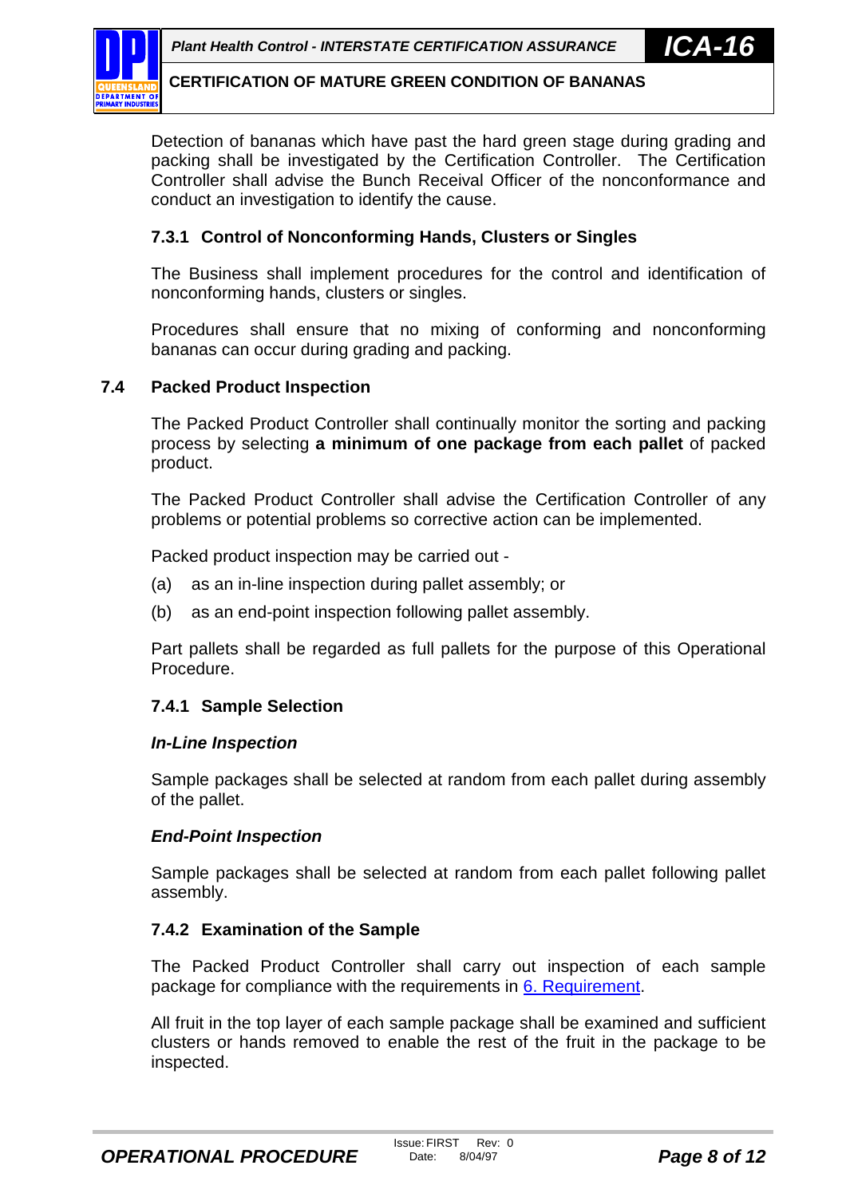<span id="page-7-0"></span>

Detection of bananas which have past the hard green stage during grading and packing shall be investigated by the Certification Controller. The Certification Controller shall advise the Bunch Receival Officer of the nonconformance and conduct an investigation to identify the cause.

## **7.3.1 Control of Nonconforming Hands, Clusters or Singles**

The Business shall implement procedures for the control and identification of nonconforming hands, clusters or singles.

Procedures shall ensure that no mixing of conforming and nonconforming bananas can occur during grading and packing.

## **7.4 Packed Product Inspection**

The Packed Product Controller shall continually monitor the sorting and packing process by selecting **a minimum of one package from each pallet** of packed product.

The Packed Product Controller shall advise the Certification Controller of any problems or potential problems so corrective action can be implemented.

Packed product inspection may be carried out -

- (a) as an in-line inspection during pallet assembly; or
- (b) as an end-point inspection following pallet assembly.

Part pallets shall be regarded as full pallets for the purpose of this Operational Procedure.

#### **7.4.1 Sample Selection**

#### *In-Line Inspection*

Sample packages shall be selected at random from each pallet during assembly of the pallet.

#### *End-Point Inspection*

Sample packages shall be selected at random from each pallet following pallet assembly.

#### **7.4.2 Examination of the Sample**

The Packed Product Controller shall carry out inspection of each sample package for compliance with the requirements in [6. Requirement.](#page-4-0)

All fruit in the top layer of each sample package shall be examined and sufficient clusters or hands removed to enable the rest of the fruit in the package to be inspected.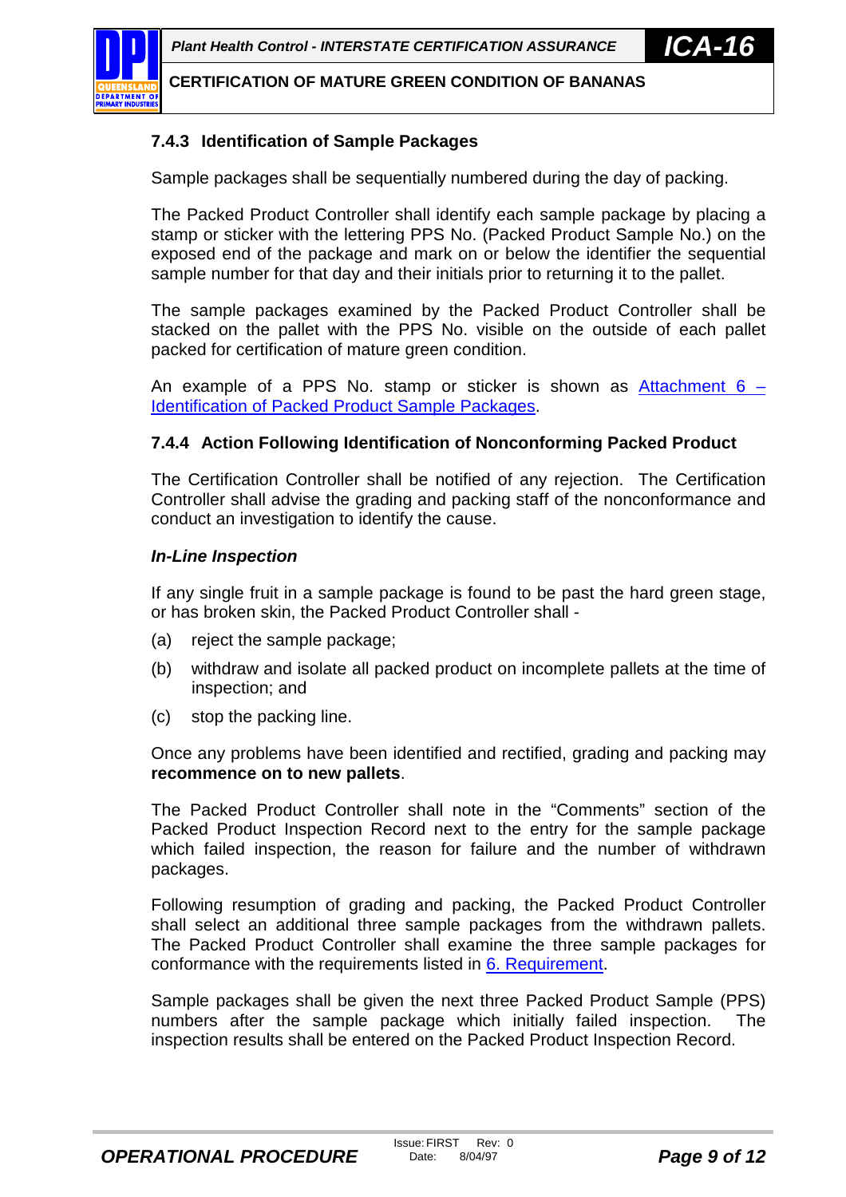<span id="page-8-0"></span>

## **7.4.3 Identification of Sample Packages**

Sample packages shall be sequentially numbered during the day of packing.

The Packed Product Controller shall identify each sample package by placing a stamp or sticker with the lettering PPS No. (Packed Product Sample No.) on the exposed end of the package and mark on or below the identifier the sequential sample number for that day and their initials prior to returning it to the pallet.

The sample packages examined by the Packed Product Controller shall be stacked on the pallet with the PPS No. visible on the outside of each pallet packed for certification of mature green condition.

An example of a PPS No. stamp or sticker is shown as Attachment  $6 -$ [Identification of Packed Product Sample Packages.](#page-17-0)

## **7.4.4 Action Following Identification of Nonconforming Packed Product**

The Certification Controller shall be notified of any rejection. The Certification Controller shall advise the grading and packing staff of the nonconformance and conduct an investigation to identify the cause.

### *In-Line Inspection*

If any single fruit in a sample package is found to be past the hard green stage, or has broken skin, the Packed Product Controller shall -

- (a) reject the sample package;
- (b) withdraw and isolate all packed product on incomplete pallets at the time of inspection; and
- (c) stop the packing line.

Once any problems have been identified and rectified, grading and packing may **recommence on to new pallets**.

The Packed Product Controller shall note in the "Comments" section of the Packed Product Inspection Record next to the entry for the sample package which failed inspection, the reason for failure and the number of withdrawn packages.

Following resumption of grading and packing, the Packed Product Controller shall select an additional three sample packages from the withdrawn pallets. The Packed Product Controller shall examine the three sample packages for conformance with the requirements listed in [6. Requirement.](#page-4-0)

Sample packages shall be given the next three Packed Product Sample (PPS) numbers after the sample package which initially failed inspection. The inspection results shall be entered on the Packed Product Inspection Record.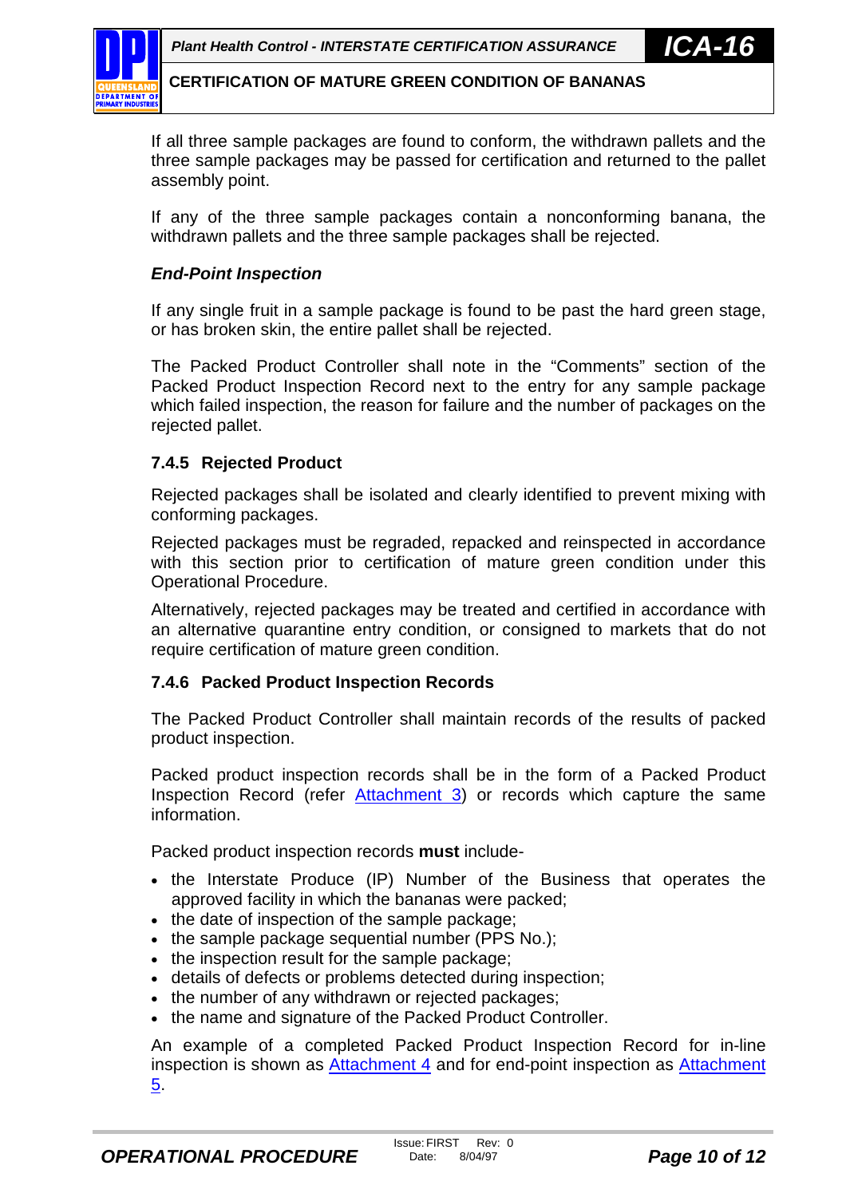<span id="page-9-0"></span>If all three sample packages are found to conform, the withdrawn pallets and the three sample packages may be passed for certification and returned to the pallet assembly point.

If any of the three sample packages contain a nonconforming banana, the withdrawn pallets and the three sample packages shall be rejected.

## *End-Point Inspection*

If any single fruit in a sample package is found to be past the hard green stage, or has broken skin, the entire pallet shall be rejected.

The Packed Product Controller shall note in the "Comments" section of the Packed Product Inspection Record next to the entry for any sample package which failed inspection, the reason for failure and the number of packages on the rejected pallet.

## **7.4.5 Rejected Product**

Rejected packages shall be isolated and clearly identified to prevent mixing with conforming packages.

Rejected packages must be regraded, repacked and reinspected in accordance with this section prior to certification of mature green condition under this Operational Procedure.

Alternatively, rejected packages may be treated and certified in accordance with an alternative quarantine entry condition, or consigned to markets that do not require certification of mature green condition.

## **7.4.6 Packed Product Inspection Records**

The Packed Product Controller shall maintain records of the results of packed product inspection.

Packed product inspection records shall be in the form of a Packed Product Inspection Record (refer [Attachment 3](#page-14-0)) or records which capture the same information.

Packed product inspection records **must** include-

- the Interstate Produce (IP) Number of the Business that operates the approved facility in which the bananas were packed;
- the date of inspection of the sample package;
- $\bullet$  the sample package sequential number (PPS No.);
- the inspection result for the sample package;
- details of defects or problems detected during inspection;
- the number of any withdrawn or rejected packages;
- the name and signature of the Packed Product Controller.

An example of a completed Packed Product Inspection Record for in-line inspection is shown as [Attachment 4](#page-15-0) and for end-point inspection as [Attachment](#page-16-0) [5.](#page-16-0)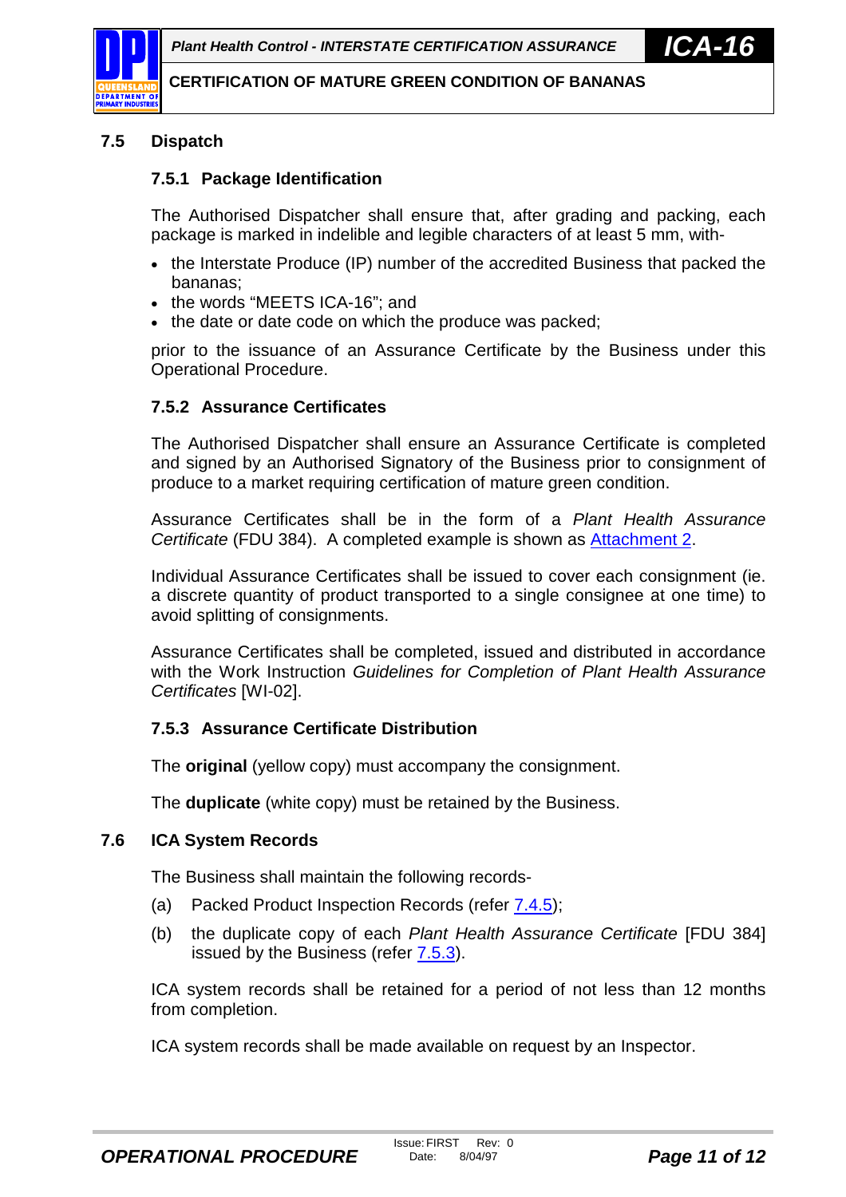<span id="page-10-0"></span>

# **7.5 Dispatch**

## **7.5.1 Package Identification**

The Authorised Dispatcher shall ensure that, after grading and packing, each package is marked in indelible and legible characters of at least 5 mm, with-

- the Interstate Produce (IP) number of the accredited Business that packed the bananas;
- the words "MEETS ICA-16"; and
- the date or date code on which the produce was packed;

prior to the issuance of an Assurance Certificate by the Business under this Operational Procedure.

## **7.5.2 Assurance Certificates**

The Authorised Dispatcher shall ensure an Assurance Certificate is completed and signed by an Authorised Signatory of the Business prior to consignment of produce to a market requiring certification of mature green condition.

Assurance Certificates shall be in the form of a *Plant Health Assurance Certificate* (FDU 384). A completed example is shown as [Attachment 2.](#page-13-0)

Individual Assurance Certificates shall be issued to cover each consignment (ie. a discrete quantity of product transported to a single consignee at one time) to avoid splitting of consignments.

Assurance Certificates shall be completed, issued and distributed in accordance with the Work Instruction *Guidelines for Completion of Plant Health Assurance Certificates* [WI-02].

# **7.5.3 Assurance Certificate Distribution**

The **original** (yellow copy) must accompany the consignment.

The **duplicate** (white copy) must be retained by the Business.

## **7.6 ICA System Records**

The Business shall maintain the following records-

- (a) Packed Product Inspection Records (refer [7.4.5\)](#page-9-0);
- (b) the duplicate copy of each *Plant Health Assurance Certificate* [FDU 384] issued by the Business (refer 7.5.3).

ICA system records shall be retained for a period of not less than 12 months from completion.

ICA system records shall be made available on request by an Inspector.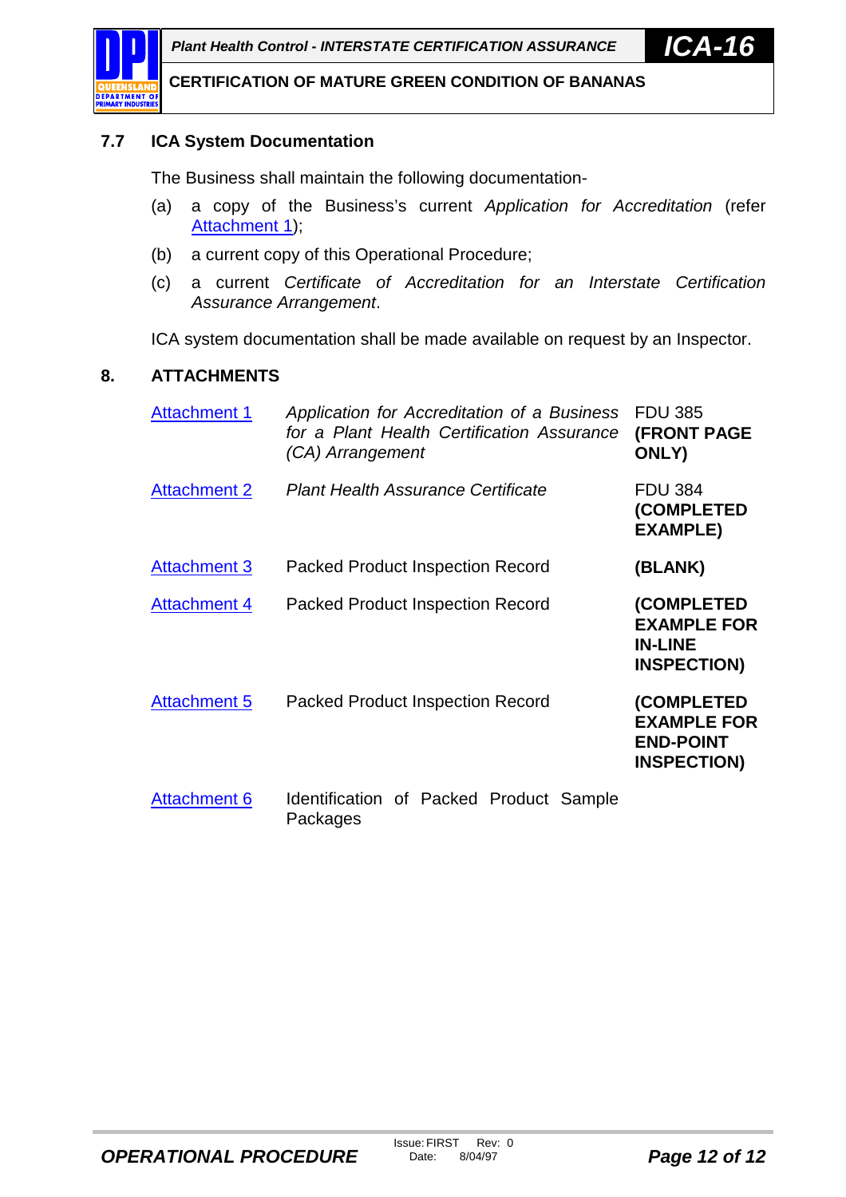

## **7.7 ICA System Documentation**

The Business shall maintain the following documentation-

- (a) a copy of the Business's current *Application for Accreditation* (refer [Attachment 1\)](#page-12-0);
- (b) a current copy of this Operational Procedure;
- (c) a current *Certificate of Accreditation for an Interstate Certification Assurance Arrangement*.

ICA system documentation shall be made available on request by an Inspector.

## **8. ATTACHMENTS**

| <b>Attachment 1</b> | Application for Accreditation of a Business<br>for a Plant Health Certification Assurance<br>(CA) Arrangement | <b>FDU 385</b><br><b>(FRONT PAGE</b><br>ONLY)                              |
|---------------------|---------------------------------------------------------------------------------------------------------------|----------------------------------------------------------------------------|
| <b>Attachment 2</b> | <b>Plant Health Assurance Certificate</b>                                                                     | <b>FDU 384</b><br>(COMPLETED<br><b>EXAMPLE)</b>                            |
| <b>Attachment 3</b> | <b>Packed Product Inspection Record</b>                                                                       | (BLANK)                                                                    |
| <b>Attachment 4</b> | <b>Packed Product Inspection Record</b>                                                                       | (COMPLETED<br><b>EXAMPLE FOR</b><br><b>IN-LINE</b><br><b>INSPECTION)</b>   |
| <b>Attachment 5</b> | <b>Packed Product Inspection Record</b>                                                                       | (COMPLETED<br><b>EXAMPLE FOR</b><br><b>END-POINT</b><br><b>INSPECTION)</b> |
| <b>Attachment 6</b> | Identification of Packed Product Sample<br>Packages                                                           |                                                                            |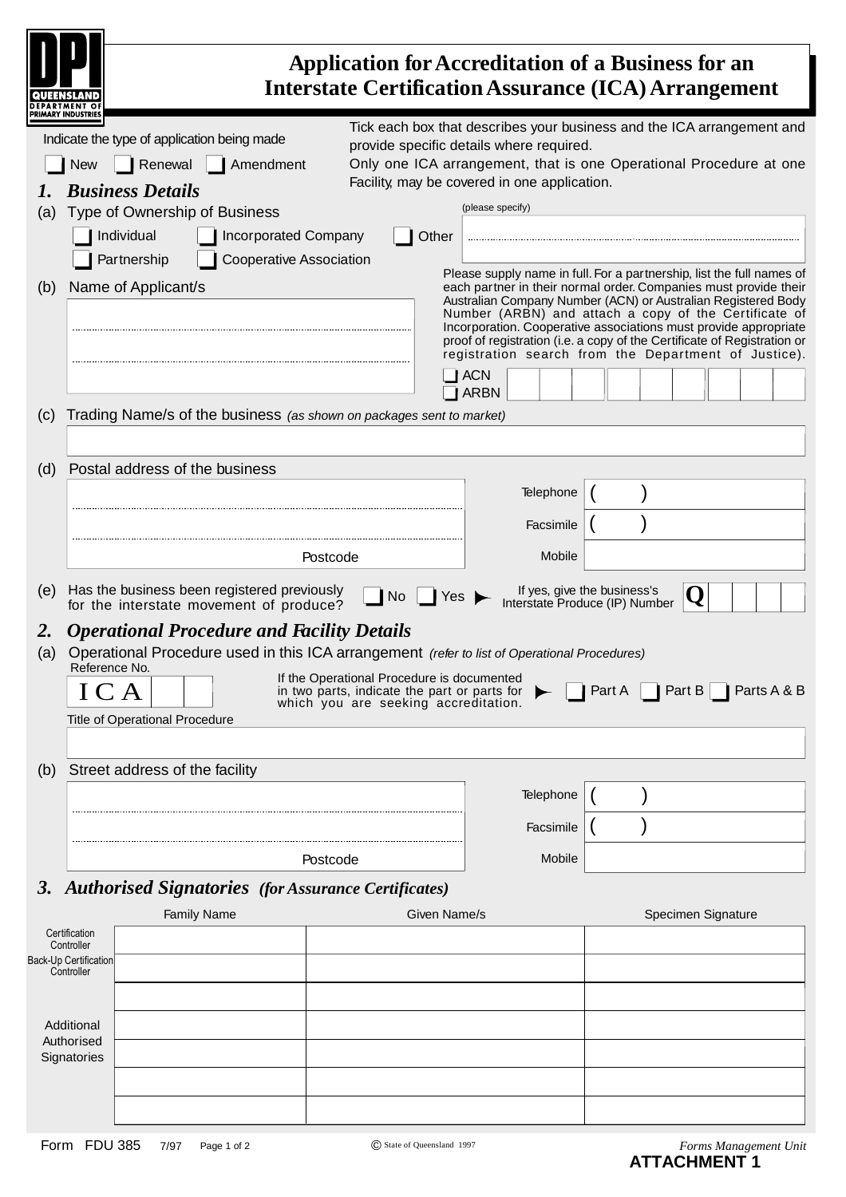<span id="page-12-0"></span>

|           |                                                                    |                                                                                                                                                                                            |                                                                            | <b>Application for Accreditation of a Business for an</b><br><b>Interstate Certification Assurance (ICA) Arrangement</b>           |                                                                                                                                                                                                                                                                                                                                                                                                                                 |        |                    |             |
|-----------|--------------------------------------------------------------------|--------------------------------------------------------------------------------------------------------------------------------------------------------------------------------------------|----------------------------------------------------------------------------|------------------------------------------------------------------------------------------------------------------------------------|---------------------------------------------------------------------------------------------------------------------------------------------------------------------------------------------------------------------------------------------------------------------------------------------------------------------------------------------------------------------------------------------------------------------------------|--------|--------------------|-------------|
| (a)       | <b>New</b>                                                         | Indicate the type of application being made<br>Renewal<br><b>Business Details</b><br>Type of Ownership of Business<br>Individual<br>Partnership                                            | Amendment<br><b>Incorporated Company</b><br><b>Cooperative Association</b> | Other                                                                                                                              | Tick each box that describes your business and the ICA arrangement and<br>provide specific details where required.<br>Only one ICA arrangement, that is one Operational Procedure at one<br>Facility, may be covered in one application.<br>(please specify)<br>Please supply name in full. For a partnership, list the full names of                                                                                           |        |                    |             |
| (b)       |                                                                    | Name of Applicant/s                                                                                                                                                                        |                                                                            |                                                                                                                                    | each partner in their normal order. Companies must provide their<br>Australian Company Number (ACN) or Australian Registered Body<br>Number (ARBN) and attach a copy of the Certificate of<br>Incorporation. Cooperative associations must provide appropriate<br>proof of registration (i.e. a copy of the Certificate of Registration or<br>registration search from the Department of Justice).<br><b>ACN</b><br><b>ARBN</b> |        |                    |             |
| (c)       |                                                                    | Trading Name/s of the business (as shown on packages sent to market)                                                                                                                       |                                                                            |                                                                                                                                    |                                                                                                                                                                                                                                                                                                                                                                                                                                 |        |                    |             |
| (d)       |                                                                    | Postal address of the business                                                                                                                                                             |                                                                            |                                                                                                                                    | Telephone<br>Facsimile                                                                                                                                                                                                                                                                                                                                                                                                          |        |                    |             |
|           |                                                                    |                                                                                                                                                                                            | Postcode                                                                   |                                                                                                                                    | Mobile                                                                                                                                                                                                                                                                                                                                                                                                                          |        |                    |             |
| (e)       |                                                                    | Has the business been registered previously<br>for the interstate movement of produce?                                                                                                     |                                                                            | No<br>Yes                                                                                                                          | If yes, give the business's<br>Interstate Produce (IP) Number                                                                                                                                                                                                                                                                                                                                                                   |        |                    |             |
| 2.<br>(a) | Reference No.<br>ICA                                               | <b>Operational Procedure and Facility Details</b><br>Operational Procedure used in this ICA arrangement (refer to list of Operational Procedures)<br><b>Title of Operational Procedure</b> |                                                                            | If the Operational Procedure is documented<br>in two parts, indicate the part or parts for<br>which you are seeking accreditation. |                                                                                                                                                                                                                                                                                                                                                                                                                                 | Part A | Part B $\vert$     | Parts A & B |
| (b)       |                                                                    | Street address of the facility                                                                                                                                                             |                                                                            |                                                                                                                                    | Telephone                                                                                                                                                                                                                                                                                                                                                                                                                       |        |                    |             |
|           |                                                                    |                                                                                                                                                                                            |                                                                            |                                                                                                                                    | Facsimile                                                                                                                                                                                                                                                                                                                                                                                                                       |        |                    |             |
|           |                                                                    |                                                                                                                                                                                            | Postcode                                                                   |                                                                                                                                    | Mobile                                                                                                                                                                                                                                                                                                                                                                                                                          |        |                    |             |
|           |                                                                    | 3. Authorised Signatories (for Assurance Certificates)<br><b>Family Name</b>                                                                                                               |                                                                            | Given Name/s                                                                                                                       |                                                                                                                                                                                                                                                                                                                                                                                                                                 |        | Specimen Signature |             |
|           | Certification<br>Controller<br>Back-Up Certification<br>Controller |                                                                                                                                                                                            |                                                                            |                                                                                                                                    |                                                                                                                                                                                                                                                                                                                                                                                                                                 |        |                    |             |
|           | Additional<br>Authorised<br>Signatories                            |                                                                                                                                                                                            |                                                                            |                                                                                                                                    |                                                                                                                                                                                                                                                                                                                                                                                                                                 |        |                    |             |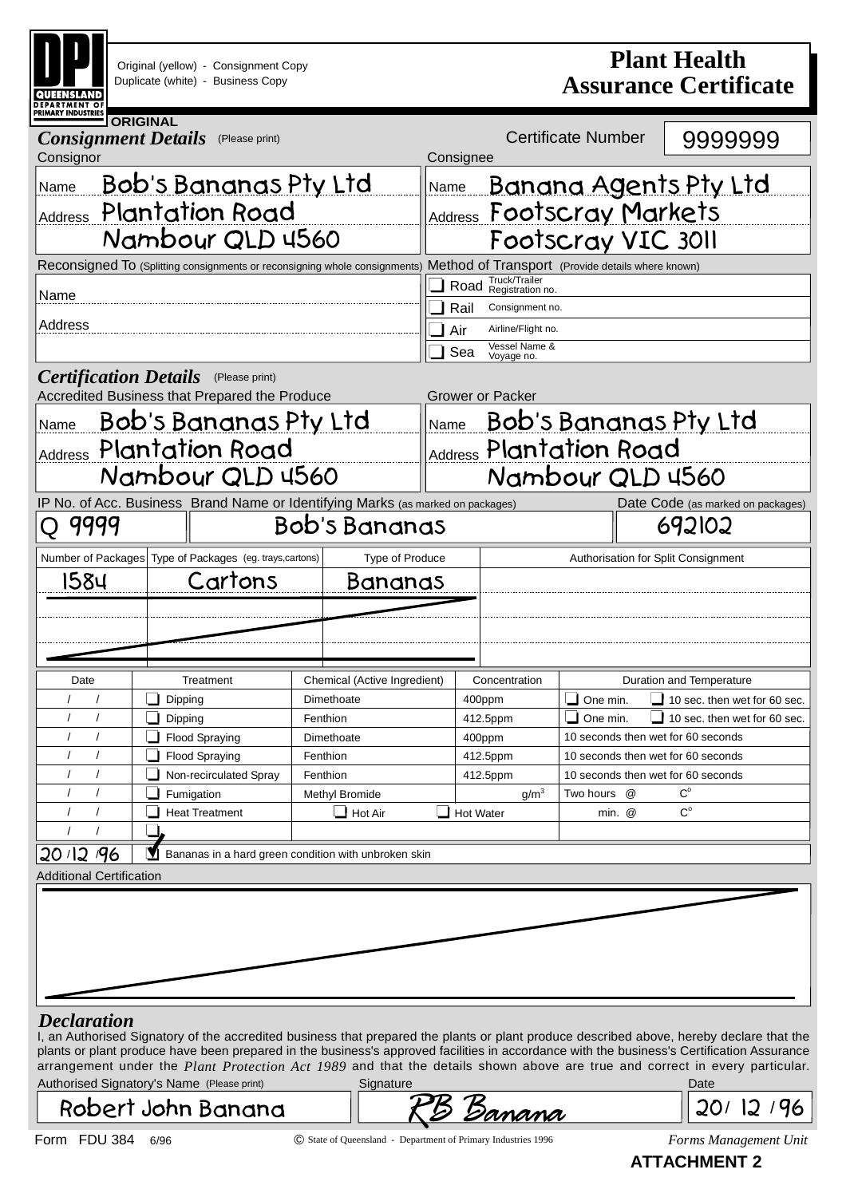<span id="page-13-0"></span>

| <b>DEPARTMENT O</b> I<br><b>PRIMARY INDUSTRIES</b> | Original (yellow) - Consignment Copy<br>Duplicate (white) - Business Copy                    |                                                      | <b>Plant Health</b><br><b>Assurance Certificate</b>                                     |                                        |                                                       |                                                                                                                                                                                                                                                                                                                                                                                                                              |  |  |
|----------------------------------------------------|----------------------------------------------------------------------------------------------|------------------------------------------------------|-----------------------------------------------------------------------------------------|----------------------------------------|-------------------------------------------------------|------------------------------------------------------------------------------------------------------------------------------------------------------------------------------------------------------------------------------------------------------------------------------------------------------------------------------------------------------------------------------------------------------------------------------|--|--|
| <b>Consignment Details</b><br>Consignor            | <b>ORIGINAL</b><br>(Please print)                                                            |                                                      | Consignee                                                                               | <b>Certificate Number</b>              | 9999999                                               |                                                                                                                                                                                                                                                                                                                                                                                                                              |  |  |
| Name                                               | <b>Bob's Bananas Pty Ltd</b><br>Address Plantation Road<br>Namboyr QLD 4560                  |                                                      | <u>Banana Agents Pty Ltd</u><br>Name<br>Address Footscray Markets<br>Footscray VIC 3011 |                                        |                                                       |                                                                                                                                                                                                                                                                                                                                                                                                                              |  |  |
|                                                    | Reconsigned To (Splitting consignments or reconsigning whole consignments)                   |                                                      | Method of Transport (Provide details where known)                                       |                                        |                                                       |                                                                                                                                                                                                                                                                                                                                                                                                                              |  |  |
| Name                                               |                                                                                              |                                                      |                                                                                         | Truck/Trailer<br>Road Registration no. |                                                       |                                                                                                                                                                                                                                                                                                                                                                                                                              |  |  |
|                                                    |                                                                                              |                                                      | Rail                                                                                    | Consignment no.                        |                                                       |                                                                                                                                                                                                                                                                                                                                                                                                                              |  |  |
| Address                                            |                                                                                              |                                                      | Air                                                                                     | Airline/Flight no.                     |                                                       |                                                                                                                                                                                                                                                                                                                                                                                                                              |  |  |
|                                                    |                                                                                              |                                                      | Sea                                                                                     | Vessel Name &<br>Voyage no.            |                                                       |                                                                                                                                                                                                                                                                                                                                                                                                                              |  |  |
|                                                    | <b>Certification Details</b> (Please print)<br>Accredited Business that Prepared the Produce |                                                      |                                                                                         | Grower or Packer                       |                                                       |                                                                                                                                                                                                                                                                                                                                                                                                                              |  |  |
| Name                                               | <u>Bob's Bananas Pty Ltd</u>                                                                 |                                                      |                                                                                         |                                        |                                                       | Name Bob's Bananas Pty Ltd                                                                                                                                                                                                                                                                                                                                                                                                   |  |  |
|                                                    |                                                                                              |                                                      |                                                                                         |                                        |                                                       |                                                                                                                                                                                                                                                                                                                                                                                                                              |  |  |
|                                                    | Address Plantation Road                                                                      |                                                      |                                                                                         |                                        | Address Plantation Road                               |                                                                                                                                                                                                                                                                                                                                                                                                                              |  |  |
|                                                    | Nambour QLD 4560                                                                             |                                                      |                                                                                         |                                        | Nambour QLD 4560                                      |                                                                                                                                                                                                                                                                                                                                                                                                                              |  |  |
|                                                    | IP No. of Acc. Business Brand Name or Identifying Marks (as marked on packages)              |                                                      |                                                                                         |                                        |                                                       | Date Code (as marked on packages)                                                                                                                                                                                                                                                                                                                                                                                            |  |  |
| 9999                                               |                                                                                              | Bob's Bananas                                        |                                                                                         |                                        |                                                       | 692102                                                                                                                                                                                                                                                                                                                                                                                                                       |  |  |
|                                                    | Number of Packages Type of Packages (eg. trays, cartons)                                     | Type of Produce                                      |                                                                                         |                                        |                                                       | Authorisation for Split Consignment                                                                                                                                                                                                                                                                                                                                                                                          |  |  |
| 1584                                               | Cartons                                                                                      | Bananas                                              |                                                                                         |                                        |                                                       |                                                                                                                                                                                                                                                                                                                                                                                                                              |  |  |
|                                                    |                                                                                              |                                                      |                                                                                         |                                        |                                                       |                                                                                                                                                                                                                                                                                                                                                                                                                              |  |  |
|                                                    |                                                                                              |                                                      |                                                                                         |                                        |                                                       |                                                                                                                                                                                                                                                                                                                                                                                                                              |  |  |
|                                                    |                                                                                              |                                                      |                                                                                         |                                        |                                                       |                                                                                                                                                                                                                                                                                                                                                                                                                              |  |  |
| Date                                               | Treatment                                                                                    | Chemical (Active Ingredient)                         |                                                                                         | Concentration                          |                                                       | <b>Duration and Temperature</b>                                                                                                                                                                                                                                                                                                                                                                                              |  |  |
|                                                    | Dipping                                                                                      | Dimethoate                                           |                                                                                         | 400ppm                                 | $\Box$ One min.                                       | $\Box$ 10 sec. then wet for 60 sec.                                                                                                                                                                                                                                                                                                                                                                                          |  |  |
| $\prime$                                           | Dipping                                                                                      | Fenthion                                             |                                                                                         | 412.5ppm                               | $\Box$ One min.<br>10 seconds then wet for 60 seconds | 10 sec. then wet for 60 sec.                                                                                                                                                                                                                                                                                                                                                                                                 |  |  |
| $\sqrt{2}$                                         | Flood Spraying<br>Flood Spraying                                                             | Dimethoate<br>Fenthion                               |                                                                                         | 400ppm<br>412.5ppm                     | 10 seconds then wet for 60 seconds                    |                                                                                                                                                                                                                                                                                                                                                                                                                              |  |  |
| $\prime$                                           | Non-recirculated Spray                                                                       | Fenthion                                             |                                                                                         | 412.5ppm                               | 10 seconds then wet for 60 seconds                    |                                                                                                                                                                                                                                                                                                                                                                                                                              |  |  |
|                                                    | Fumigation                                                                                   | Methyl Bromide                                       |                                                                                         | g/m <sup>3</sup>                       | Two hours @                                           | $\mathrm{C}^\circ$                                                                                                                                                                                                                                                                                                                                                                                                           |  |  |
| $\sqrt{2}$                                         | <b>Heat Treatment</b>                                                                        | $\Box$ Hot Air                                       | ┙                                                                                       | Hot Water                              | min. @                                                | $C^{\circ}$                                                                                                                                                                                                                                                                                                                                                                                                                  |  |  |
|                                                    |                                                                                              |                                                      |                                                                                         |                                        |                                                       |                                                                                                                                                                                                                                                                                                                                                                                                                              |  |  |
| 20/12/96                                           |                                                                                              | Bananas in a hard green condition with unbroken skin |                                                                                         |                                        |                                                       |                                                                                                                                                                                                                                                                                                                                                                                                                              |  |  |
| <b>Additional Certification</b>                    |                                                                                              |                                                      |                                                                                         |                                        |                                                       |                                                                                                                                                                                                                                                                                                                                                                                                                              |  |  |
|                                                    |                                                                                              |                                                      |                                                                                         |                                        |                                                       |                                                                                                                                                                                                                                                                                                                                                                                                                              |  |  |
| <b>Declaration</b>                                 | Authorised Signatory's Name (Please print)                                                   | Signature                                            |                                                                                         |                                        |                                                       | I, an Authorised Signatory of the accredited business that prepared the plants or plant produce described above, hereby declare that the<br>plants or plant produce have been prepared in the business's approved facilities in accordance with the business's Certification Assurance<br>arrangement under the Plant Protection Act 1989 and that the details shown above are true and correct in every particular.<br>Date |  |  |

Robert John Banana

Form FDU 384 6/96 *Forms Management Unit* © State of Queensland - Department of Primary Industries 1996

RB Banana

20/ 12/96

**ATTACHMENT 2**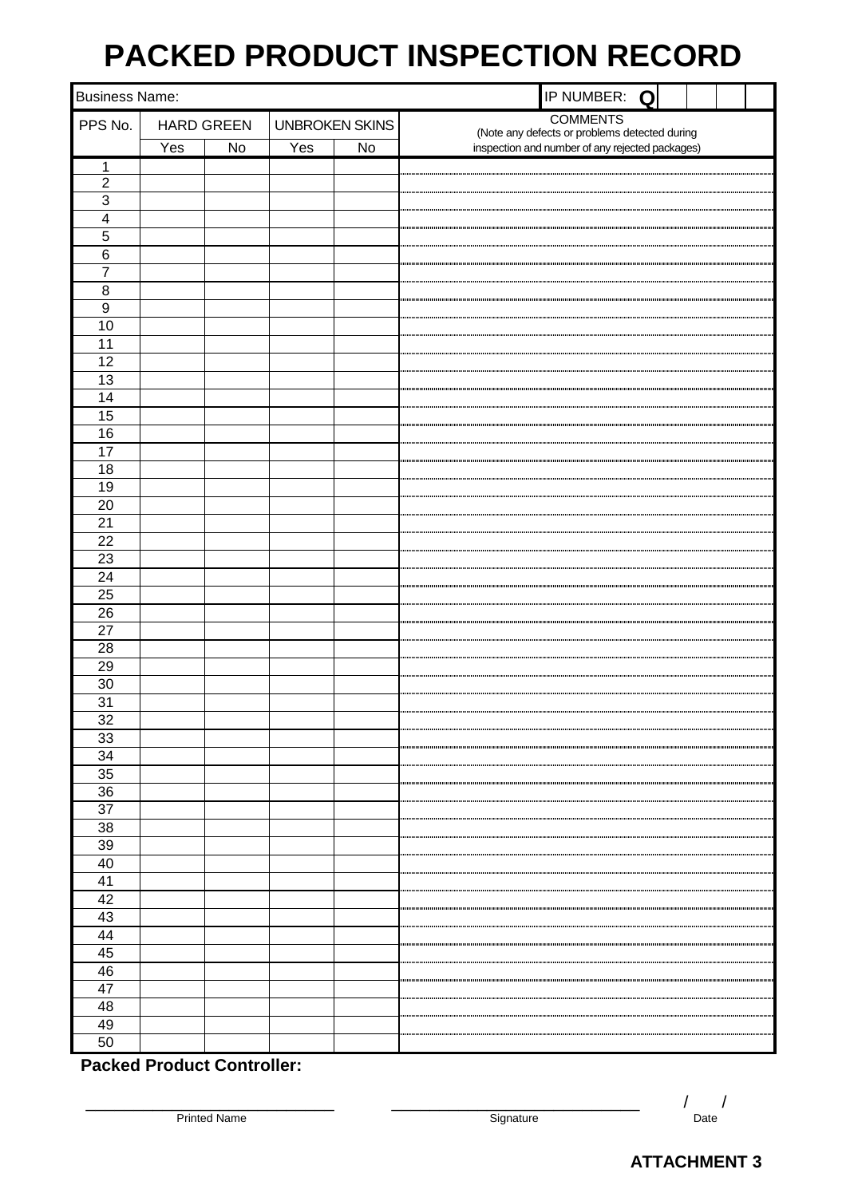# **PACKED PRODUCT INSPECTION RECORD**

<span id="page-14-0"></span>

| <b>Business Name:</b> |     |                   |     |                       | IP NUMBER: Q                                                                                     |
|-----------------------|-----|-------------------|-----|-----------------------|--------------------------------------------------------------------------------------------------|
| PPS No.               |     | <b>HARD GREEN</b> |     | <b>UNBROKEN SKINS</b> | <b>COMMENTS</b>                                                                                  |
|                       | Yes | No                | Yes | No                    | (Note any defects or problems detected during<br>inspection and number of any rejected packages) |
| 1                     |     |                   |     |                       |                                                                                                  |
| $\overline{2}$        |     |                   |     |                       |                                                                                                  |
| $\overline{3}$        |     |                   |     |                       |                                                                                                  |
| $\overline{4}$        |     |                   |     |                       |                                                                                                  |
| $\overline{5}$        |     |                   |     |                       |                                                                                                  |
| $\overline{6}$        |     |                   |     |                       |                                                                                                  |
| $\overline{7}$        |     |                   |     |                       |                                                                                                  |
| $\, 8$                |     |                   |     |                       |                                                                                                  |
| $\boldsymbol{9}$      |     |                   |     |                       |                                                                                                  |
| 10                    |     |                   |     |                       |                                                                                                  |
| 11                    |     |                   |     |                       |                                                                                                  |
| 12                    |     |                   |     |                       |                                                                                                  |
| 13                    |     |                   |     |                       |                                                                                                  |
| 14                    |     |                   |     |                       |                                                                                                  |
| 15                    |     |                   |     |                       |                                                                                                  |
| 16                    |     |                   |     |                       |                                                                                                  |
| $\overline{17}$       |     |                   |     |                       |                                                                                                  |
| 18                    |     |                   |     |                       |                                                                                                  |
| 19                    |     |                   |     |                       |                                                                                                  |
| $\overline{20}$       |     |                   |     |                       |                                                                                                  |
| $\overline{21}$       |     |                   |     |                       |                                                                                                  |
| $\overline{22}$       |     |                   |     |                       |                                                                                                  |
| 23                    |     |                   |     |                       |                                                                                                  |
| $\overline{24}$       |     |                   |     |                       |                                                                                                  |
| $\overline{25}$       |     |                   |     |                       |                                                                                                  |
| $\overline{26}$       |     |                   |     |                       |                                                                                                  |
| $\overline{27}$       |     |                   |     |                       |                                                                                                  |
| $\overline{28}$       |     |                   |     |                       |                                                                                                  |
| 29                    |     |                   |     |                       |                                                                                                  |
| 30                    |     |                   |     |                       |                                                                                                  |
| 31<br>$\overline{32}$ |     |                   |     |                       |                                                                                                  |
| 33                    |     |                   |     |                       |                                                                                                  |
| 34                    |     |                   |     |                       |                                                                                                  |
| 35                    |     |                   |     |                       |                                                                                                  |
| 36                    |     |                   |     |                       |                                                                                                  |
| $\overline{37}$       |     |                   |     |                       |                                                                                                  |
| $\overline{38}$       |     |                   |     |                       |                                                                                                  |
| 39                    |     |                   |     |                       |                                                                                                  |
| 40                    |     |                   |     |                       |                                                                                                  |
| 41                    |     |                   |     |                       |                                                                                                  |
| 42                    |     |                   |     |                       |                                                                                                  |
| 43                    |     |                   |     |                       |                                                                                                  |
| 44                    |     |                   |     |                       |                                                                                                  |
| 45                    |     |                   |     |                       |                                                                                                  |
| 46                    |     |                   |     |                       |                                                                                                  |
| 47                    |     |                   |     |                       |                                                                                                  |
| 48                    |     |                   |     |                       |                                                                                                  |
| 49                    |     |                   |     |                       |                                                                                                  |
| 50                    |     |                   |     |                       |                                                                                                  |

**Packed Product Controller:**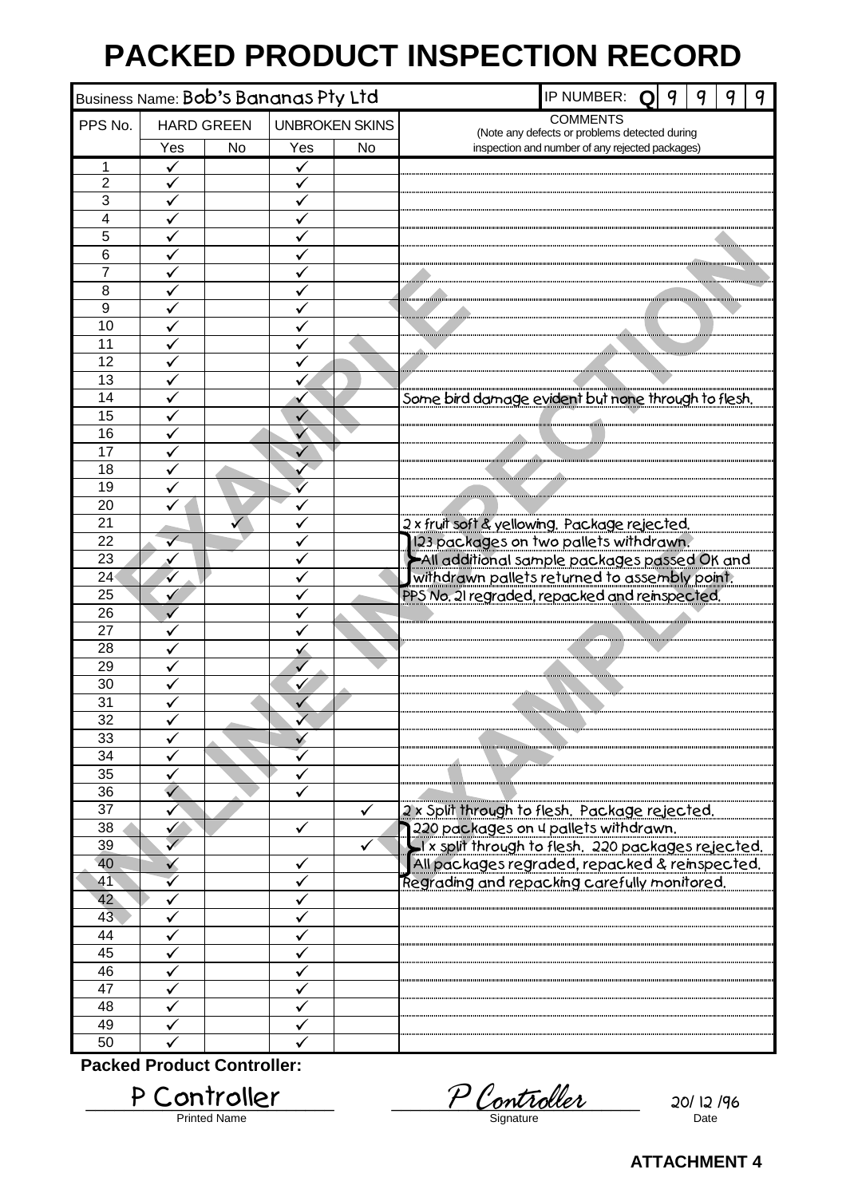# **PACKED PRODUCT INSPECTION RECORD**

<span id="page-15-0"></span>

| Business Name: Bob's Bananas Pty Ltd |                                            |    |              |    | IP NUMBER:<br>9<br>Q<br>ч                                                                                                                     |  |  |  |  |  |  |  |
|--------------------------------------|--------------------------------------------|----|--------------|----|-----------------------------------------------------------------------------------------------------------------------------------------------|--|--|--|--|--|--|--|
| PPS No.                              | <b>UNBROKEN SKINS</b><br><b>HARD GREEN</b> |    |              |    | <b>COMMENTS</b>                                                                                                                               |  |  |  |  |  |  |  |
|                                      | Yes                                        | No | Yes          | No | (Note any defects or problems detected during<br>inspection and number of any rejected packages)                                              |  |  |  |  |  |  |  |
| 1                                    |                                            |    |              |    |                                                                                                                                               |  |  |  |  |  |  |  |
| $\overline{2}$                       |                                            |    |              |    |                                                                                                                                               |  |  |  |  |  |  |  |
| $\overline{3}$                       |                                            |    | $\checkmark$ |    |                                                                                                                                               |  |  |  |  |  |  |  |
| $\overline{\mathbf{4}}$              | ✓                                          |    |              |    |                                                                                                                                               |  |  |  |  |  |  |  |
| $\overline{5}$                       |                                            |    |              |    |                                                                                                                                               |  |  |  |  |  |  |  |
| 6                                    |                                            |    |              |    |                                                                                                                                               |  |  |  |  |  |  |  |
| 7                                    |                                            |    |              |    |                                                                                                                                               |  |  |  |  |  |  |  |
| 8                                    |                                            |    |              |    |                                                                                                                                               |  |  |  |  |  |  |  |
| 9                                    |                                            |    |              |    |                                                                                                                                               |  |  |  |  |  |  |  |
| $\overline{10}$<br>11                |                                            |    |              |    |                                                                                                                                               |  |  |  |  |  |  |  |
| 12                                   |                                            |    |              |    |                                                                                                                                               |  |  |  |  |  |  |  |
| 13                                   |                                            |    |              |    |                                                                                                                                               |  |  |  |  |  |  |  |
| 14                                   |                                            |    |              |    | Some bird damage evident but none through to flesh.                                                                                           |  |  |  |  |  |  |  |
| $\overline{15}$                      |                                            |    |              |    |                                                                                                                                               |  |  |  |  |  |  |  |
| 16                                   |                                            |    |              |    |                                                                                                                                               |  |  |  |  |  |  |  |
| 17                                   |                                            |    |              |    |                                                                                                                                               |  |  |  |  |  |  |  |
| 18                                   |                                            |    |              |    |                                                                                                                                               |  |  |  |  |  |  |  |
| 19                                   |                                            |    |              |    |                                                                                                                                               |  |  |  |  |  |  |  |
| 20                                   |                                            |    |              |    |                                                                                                                                               |  |  |  |  |  |  |  |
| 21                                   |                                            |    |              |    | 2 x fruit soft & yellowing. Package rejected.                                                                                                 |  |  |  |  |  |  |  |
| 22                                   |                                            |    |              |    | 123 packages on two pallets withdrawn.<br>All additional sample packages passed OK and                                                        |  |  |  |  |  |  |  |
| 23                                   |                                            |    |              |    |                                                                                                                                               |  |  |  |  |  |  |  |
| 24                                   | ✓                                          |    |              |    | withdrawn pallets returned to assembly point.                                                                                                 |  |  |  |  |  |  |  |
| 25                                   |                                            |    |              |    | PPS No. 21 regraded, repacked and reinspected.                                                                                                |  |  |  |  |  |  |  |
| 26                                   |                                            |    |              |    |                                                                                                                                               |  |  |  |  |  |  |  |
| 27<br>28                             |                                            |    |              |    |                                                                                                                                               |  |  |  |  |  |  |  |
| 29                                   |                                            |    |              |    |                                                                                                                                               |  |  |  |  |  |  |  |
| 30                                   |                                            |    |              |    |                                                                                                                                               |  |  |  |  |  |  |  |
| $\overline{31}$                      |                                            |    |              |    |                                                                                                                                               |  |  |  |  |  |  |  |
| 32                                   |                                            |    |              |    |                                                                                                                                               |  |  |  |  |  |  |  |
| 33                                   |                                            |    |              |    |                                                                                                                                               |  |  |  |  |  |  |  |
| 34                                   |                                            |    |              |    |                                                                                                                                               |  |  |  |  |  |  |  |
| 35                                   |                                            |    |              |    |                                                                                                                                               |  |  |  |  |  |  |  |
| 36                                   |                                            |    |              |    |                                                                                                                                               |  |  |  |  |  |  |  |
| 37                                   |                                            |    |              | ✓  | 2 x Split through to flesh. Package rejected.                                                                                                 |  |  |  |  |  |  |  |
| 38                                   |                                            |    |              |    | 1220 packages on 4 pallets withdrawn.<br>1 x split through to flesh. 220 packages rejected.<br>All packages regraded, repacked & reinspected. |  |  |  |  |  |  |  |
| 39                                   |                                            |    |              |    |                                                                                                                                               |  |  |  |  |  |  |  |
| 40                                   |                                            |    |              |    |                                                                                                                                               |  |  |  |  |  |  |  |
| 41                                   |                                            |    |              |    | Regrading and repacking carefully monitored.                                                                                                  |  |  |  |  |  |  |  |
| 42<br>43                             |                                            |    |              |    |                                                                                                                                               |  |  |  |  |  |  |  |
| 44                                   |                                            |    |              |    |                                                                                                                                               |  |  |  |  |  |  |  |
| 45                                   |                                            |    |              |    |                                                                                                                                               |  |  |  |  |  |  |  |
| 46                                   |                                            |    |              |    |                                                                                                                                               |  |  |  |  |  |  |  |
| 47                                   |                                            |    |              |    |                                                                                                                                               |  |  |  |  |  |  |  |
| 48                                   |                                            |    |              |    |                                                                                                                                               |  |  |  |  |  |  |  |
| 49                                   |                                            |    |              |    |                                                                                                                                               |  |  |  |  |  |  |  |
| 50                                   |                                            |    |              |    |                                                                                                                                               |  |  |  |  |  |  |  |
|                                      | <b>Packed Product Controller:</b>          |    |              |    |                                                                                                                                               |  |  |  |  |  |  |  |
|                                      |                                            |    |              |    |                                                                                                                                               |  |  |  |  |  |  |  |

Printed Name

P Controller Pointed Name 20/ 12/96 P Controller

**ATTACHMENT 4**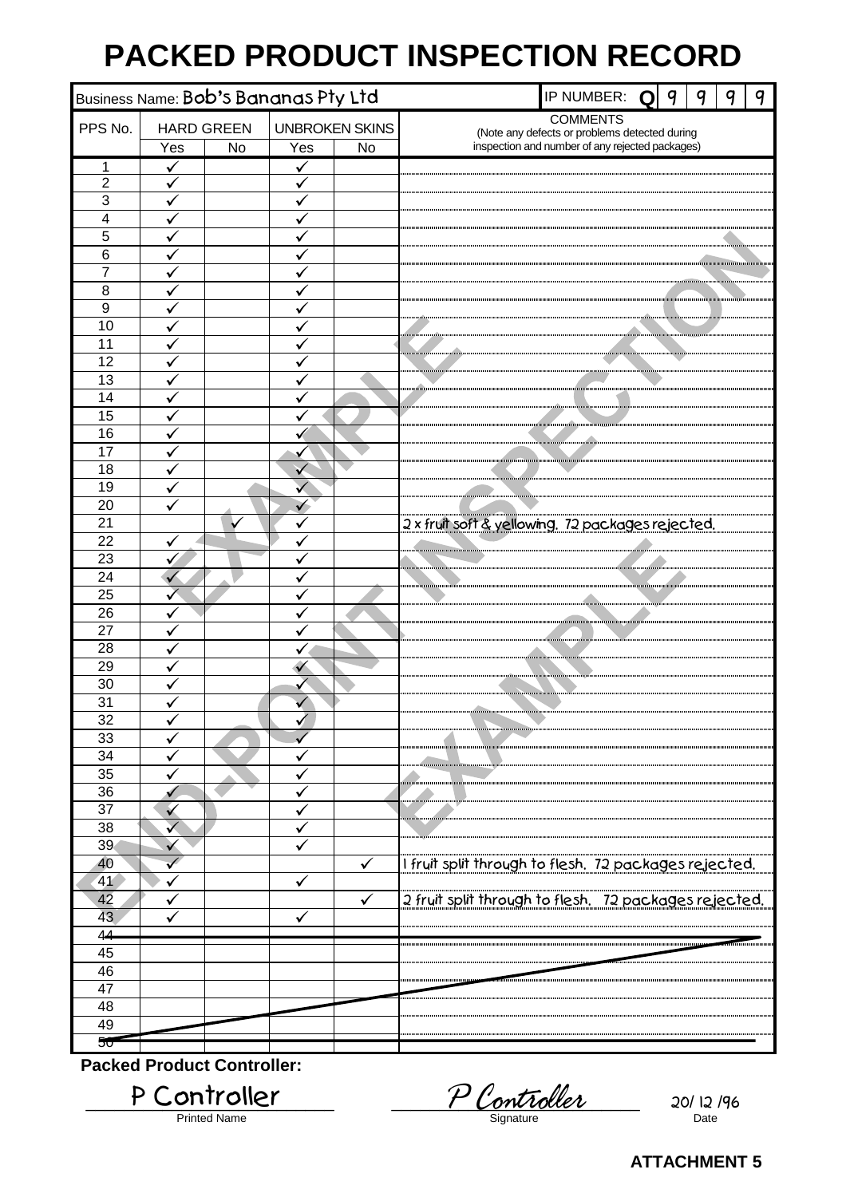# **PACKED PRODUCT INSPECTION RECORD**

<span id="page-16-0"></span>

| Business Name: Bob's Bananas Pty Ltd |                                            |    |              |              | IP NUMBER:                                            | Q                                                                                                | 9 | 9 | 9 | q |  |
|--------------------------------------|--------------------------------------------|----|--------------|--------------|-------------------------------------------------------|--------------------------------------------------------------------------------------------------|---|---|---|---|--|
| PPS No.                              | <b>UNBROKEN SKINS</b><br><b>HARD GREEN</b> |    |              |              |                                                       | <b>COMMENTS</b>                                                                                  |   |   |   |   |  |
|                                      | Yes                                        | No | Yes          | No           |                                                       | (Note any defects or problems detected during<br>inspection and number of any rejected packages) |   |   |   |   |  |
| 1                                    |                                            |    |              |              |                                                       |                                                                                                  |   |   |   |   |  |
| $\overline{2}$                       | ✔<br>✔                                     |    | ✓            |              |                                                       |                                                                                                  |   |   |   |   |  |
| $\overline{3}$                       | ✓                                          |    | $\checkmark$ |              |                                                       |                                                                                                  |   |   |   |   |  |
| $\overline{4}$                       | ✓                                          |    | ✓            |              |                                                       |                                                                                                  |   |   |   |   |  |
| $\overline{5}$                       | ✓                                          |    | ✓            |              |                                                       |                                                                                                  |   |   |   |   |  |
| 6                                    |                                            |    |              |              |                                                       |                                                                                                  |   |   |   |   |  |
| $\overline{7}$                       |                                            |    |              |              |                                                       |                                                                                                  |   |   |   |   |  |
| 8                                    |                                            |    | $\checkmark$ |              |                                                       |                                                                                                  |   |   |   |   |  |
| $\overline{9}$                       |                                            |    |              |              |                                                       |                                                                                                  |   |   |   |   |  |
| $\overline{10}$                      |                                            |    |              |              |                                                       |                                                                                                  |   |   |   |   |  |
| 11                                   |                                            |    |              |              |                                                       |                                                                                                  |   |   |   |   |  |
| 12                                   |                                            |    |              |              |                                                       |                                                                                                  |   |   |   |   |  |
| $\overline{13}$                      |                                            |    |              |              |                                                       |                                                                                                  |   |   |   |   |  |
| 14                                   | ✓                                          |    | ✓            |              |                                                       |                                                                                                  |   |   |   |   |  |
| 15                                   |                                            |    |              |              |                                                       |                                                                                                  |   |   |   |   |  |
| 16                                   |                                            |    |              |              |                                                       |                                                                                                  |   |   |   |   |  |
| 17                                   |                                            |    |              |              |                                                       |                                                                                                  |   |   |   |   |  |
| 18                                   |                                            |    | v            |              |                                                       |                                                                                                  |   |   |   |   |  |
| 19                                   |                                            |    |              |              |                                                       |                                                                                                  |   |   |   |   |  |
| $\overline{20}$                      |                                            |    |              |              |                                                       |                                                                                                  |   |   |   |   |  |
| $\overline{21}$                      |                                            |    |              |              | 2 x fruit soft & yellowing. 72 packages rejected.     |                                                                                                  |   |   |   |   |  |
| 22                                   |                                            |    |              |              |                                                       |                                                                                                  |   |   |   |   |  |
| $\overline{23}$<br>$\overline{24}$   | ✔                                          |    | v            |              |                                                       |                                                                                                  |   |   |   |   |  |
| $\overline{25}$                      |                                            |    | ✓            |              |                                                       |                                                                                                  |   |   |   |   |  |
| 26                                   |                                            |    |              |              |                                                       |                                                                                                  |   |   |   |   |  |
| 27                                   |                                            |    |              |              |                                                       |                                                                                                  |   |   |   |   |  |
| 28                                   |                                            |    |              |              |                                                       |                                                                                                  |   |   |   |   |  |
| 29                                   |                                            |    |              |              |                                                       |                                                                                                  |   |   |   |   |  |
| 30                                   |                                            |    |              |              |                                                       |                                                                                                  |   |   |   |   |  |
| $\overline{31}$                      |                                            |    |              |              |                                                       |                                                                                                  |   |   |   |   |  |
| 32                                   | ٧                                          |    | v            |              |                                                       |                                                                                                  |   |   |   |   |  |
| 33                                   |                                            |    |              |              |                                                       |                                                                                                  |   |   |   |   |  |
| 34                                   |                                            |    |              |              |                                                       |                                                                                                  |   |   |   |   |  |
| 35                                   |                                            |    |              |              |                                                       |                                                                                                  |   |   |   |   |  |
| 36                                   |                                            |    |              |              |                                                       |                                                                                                  |   |   |   |   |  |
| 37                                   | $\checkmark$                               |    |              |              |                                                       |                                                                                                  |   |   |   |   |  |
| 38                                   |                                            |    |              |              |                                                       |                                                                                                  |   |   |   |   |  |
| 39                                   |                                            |    |              |              |                                                       |                                                                                                  |   |   |   |   |  |
| 40                                   |                                            |    |              | $\checkmark$ | I fruit split through to flesh. 72 packages rejected. |                                                                                                  |   |   |   |   |  |
| 41                                   |                                            |    |              |              |                                                       |                                                                                                  |   |   |   |   |  |
| 42                                   |                                            |    |              |              | 2 fruit split through to flesh. 72 packages rejected. |                                                                                                  |   |   |   |   |  |
| 43                                   |                                            |    |              |              |                                                       |                                                                                                  |   |   |   |   |  |
| 44                                   |                                            |    |              |              |                                                       |                                                                                                  |   |   |   |   |  |
| 45                                   |                                            |    |              |              |                                                       |                                                                                                  |   |   |   |   |  |
| 46                                   |                                            |    |              |              |                                                       |                                                                                                  |   |   |   |   |  |
| 47                                   |                                            |    |              |              |                                                       |                                                                                                  |   |   |   |   |  |
| 48                                   |                                            |    |              |              |                                                       |                                                                                                  |   |   |   |   |  |
| 49                                   |                                            |    |              |              |                                                       |                                                                                                  |   |   |   |   |  |
| 50                                   |                                            |    |              |              |                                                       |                                                                                                  |   |   |   |   |  |
| <b>Packed Product Controller:</b>    |                                            |    |              |              |                                                       |                                                                                                  |   |   |   |   |  |

P Controller P Controller 20/12/96 Printed Name Date Date Signature Signature Date Date

**ATTACHMENT 5**